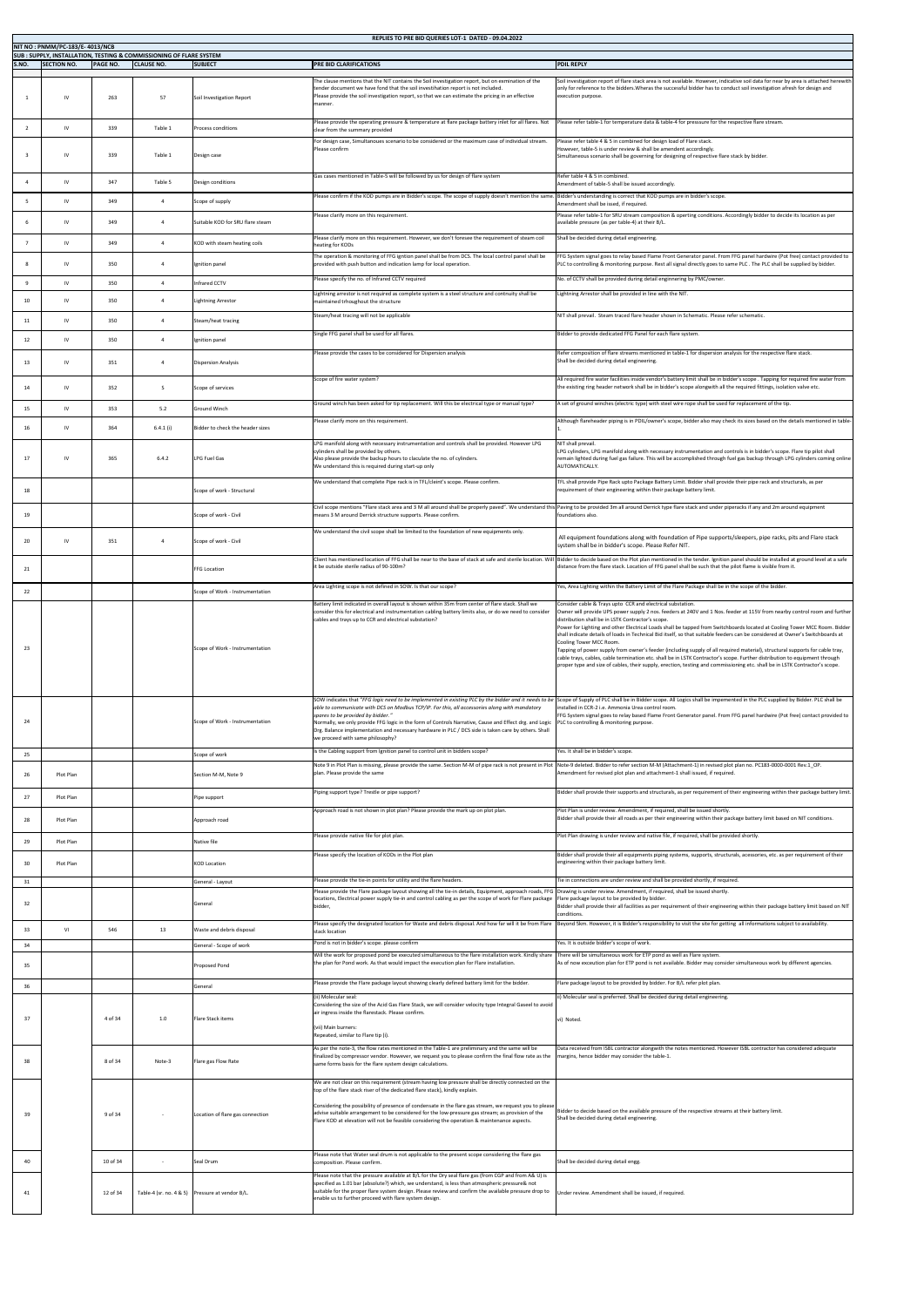|       | NIT NO: PNMM/PC-183/E-4013/NCB |                 |                                                                                                     |                                                 | REPLIES TO PRE BID QUERIES LOT-1 DATED - 09.04.2022                                                                                                                                                                                                                                                                                                                                                             |                                                                                                                                                                                                                                                                                                                                                                                                                                                                                                                                                                                                                                                                                                                                                                                                                                                                                                                                     |
|-------|--------------------------------|-----------------|-----------------------------------------------------------------------------------------------------|-------------------------------------------------|-----------------------------------------------------------------------------------------------------------------------------------------------------------------------------------------------------------------------------------------------------------------------------------------------------------------------------------------------------------------------------------------------------------------|-------------------------------------------------------------------------------------------------------------------------------------------------------------------------------------------------------------------------------------------------------------------------------------------------------------------------------------------------------------------------------------------------------------------------------------------------------------------------------------------------------------------------------------------------------------------------------------------------------------------------------------------------------------------------------------------------------------------------------------------------------------------------------------------------------------------------------------------------------------------------------------------------------------------------------------|
| S.NO. | <b>SECTION NO.</b>             | <b>PAGE NO.</b> | <b>SUB : SUPPLY, INSTALLATION, TESTING &amp; COMMISSIONING OF FLARE SYSTEM</b><br><b>CLAUSE NO.</b> | <b>SUBJECT</b>                                  | <b>PRE BID CLARIFICATIONS</b>                                                                                                                                                                                                                                                                                                                                                                                   | <b>PDIL REPLY</b>                                                                                                                                                                                                                                                                                                                                                                                                                                                                                                                                                                                                                                                                                                                                                                                                                                                                                                                   |
|       |                                |                 |                                                                                                     |                                                 |                                                                                                                                                                                                                                                                                                                                                                                                                 |                                                                                                                                                                                                                                                                                                                                                                                                                                                                                                                                                                                                                                                                                                                                                                                                                                                                                                                                     |
|       | IV                             | 263             | 57                                                                                                  | Soil Investigation Report                       | The clause mentions that the NIT contains the Soil investigation report, but on exmination of the<br>tender document we have fond that the soil investihation report is not included.<br>Please provide the soil investigation report, so that we can estimate the pricing in an effective<br>manner.<br>Please provide the operating pressure & temperature at flare package battery inlet for all flares. Not | Soil investigation report of flare stack area is not available. However, indicative soil data for near by area is attached herewith<br>only for reference to the bidders. Wheras the successful bidder has to conduct soil investigation afresh for design and<br>execution purpose.<br>Please refer table-1 for temperature data & table-4 for presssure for the respective flare stream.                                                                                                                                                                                                                                                                                                                                                                                                                                                                                                                                          |
|       | $\mathsf{IV}$                  | 339             | Table 1                                                                                             | <b>Process conditions</b>                       | clear from the summary provided                                                                                                                                                                                                                                                                                                                                                                                 |                                                                                                                                                                                                                                                                                                                                                                                                                                                                                                                                                                                                                                                                                                                                                                                                                                                                                                                                     |
|       |                                | 339             | Table 1                                                                                             | Design case                                     | For design case, Simultanoues scenario to be considered or the maximum case of individual stream.<br>Please confirm                                                                                                                                                                                                                                                                                             | Please refer table 4 & 5 in combined for design load of Flare stack.<br>However, table-5 is under review & shall be amendent accordingly.<br>Simultaneous scenario shall be governing for designing of respective flare stack by bidder.                                                                                                                                                                                                                                                                                                                                                                                                                                                                                                                                                                                                                                                                                            |
|       | IV.                            | 347             | Table 5                                                                                             | Design conditions                               | Gas cases mentioned in Table-5 will be followed by us for design of flare system                                                                                                                                                                                                                                                                                                                                | Refer table 4 & 5 in combined.<br>Amendment of table-5 shall be issued accordingly.                                                                                                                                                                                                                                                                                                                                                                                                                                                                                                                                                                                                                                                                                                                                                                                                                                                 |
|       | <b>IV</b>                      | 349             |                                                                                                     | Scope of supply                                 | Please confirm if the KOD pumps are in Bidder's scope. The scope of supply doesn't mention the same                                                                                                                                                                                                                                                                                                             | Bidder's understanding is correct that KOD pumps are in bidder's scope.<br>Amendment shall be issed, if required.                                                                                                                                                                                                                                                                                                                                                                                                                                                                                                                                                                                                                                                                                                                                                                                                                   |
|       |                                | 349             |                                                                                                     | Suitable KOD for SRU flare steam                | Please clarify more on this requirement                                                                                                                                                                                                                                                                                                                                                                         | Please refer table-1 for SRU stream composition & operting conditions. Accordingly bidder to decide its location as per<br>available pressure (as per table-4) at their B/L.                                                                                                                                                                                                                                                                                                                                                                                                                                                                                                                                                                                                                                                                                                                                                        |
|       | IV                             | 349             |                                                                                                     | KOD with steam heating coils                    | Please clarify more on this requirement. However, we don't foresee the requirement of steam coil<br>heating for KODs                                                                                                                                                                                                                                                                                            | Shall be decided during detail engineering.                                                                                                                                                                                                                                                                                                                                                                                                                                                                                                                                                                                                                                                                                                                                                                                                                                                                                         |
|       |                                | 350             |                                                                                                     | Ignition panel                                  | The operation & monitoring of FFG igntion panel shall be from DCS. The local control panel shall be<br>provided with push button and indication lamp for local operation.                                                                                                                                                                                                                                       | FFG System signal goes to relay based Flame Front Generator panel. From FFG panel hardwire (Pot free) contact provided to<br>PLC to controlling & monitoring purpose. Rest all signal directly goes to same PLC . The PLC shall be supplied by bidder.                                                                                                                                                                                                                                                                                                                                                                                                                                                                                                                                                                                                                                                                              |
| -9    | IV                             | 350             |                                                                                                     | Infrared CCTV                                   | Please specify the no. of Infrared CCTV required                                                                                                                                                                                                                                                                                                                                                                | No. of CCTV shall be provided during detail enginnering by PMC/owner.                                                                                                                                                                                                                                                                                                                                                                                                                                                                                                                                                                                                                                                                                                                                                                                                                                                               |
| 10    | 1V                             | 350             |                                                                                                     | <b>Lightning Arrestor</b>                       | Lightning arrestor is not required as complete system is a steel structure and contnuity shall be                                                                                                                                                                                                                                                                                                               | Lightning Arrestor shall be provided in line with the NIT.                                                                                                                                                                                                                                                                                                                                                                                                                                                                                                                                                                                                                                                                                                                                                                                                                                                                          |
|       |                                |                 |                                                                                                     |                                                 | maintained trhoughout the structure<br>Steam/heat tracing will not be applicable                                                                                                                                                                                                                                                                                                                                | NIT shall prevail. Steam traced flare header shown in Schematic. Please refer schematic.                                                                                                                                                                                                                                                                                                                                                                                                                                                                                                                                                                                                                                                                                                                                                                                                                                            |
| 11    | <b>IV</b>                      | 350             | $\Delta$                                                                                            | Steam/heat tracing                              |                                                                                                                                                                                                                                                                                                                                                                                                                 |                                                                                                                                                                                                                                                                                                                                                                                                                                                                                                                                                                                                                                                                                                                                                                                                                                                                                                                                     |
| 12    | $\mathsf{N}$                   | 350             |                                                                                                     | Ignition panel                                  | Single FFG panel shall be used for all flares.                                                                                                                                                                                                                                                                                                                                                                  | Bidder to provide dedicated FFG Panel for each flare system.                                                                                                                                                                                                                                                                                                                                                                                                                                                                                                                                                                                                                                                                                                                                                                                                                                                                        |
| 13    | IV                             | 351             |                                                                                                     | <b>Dispersion Analysis</b>                      | Please provide the cases to be considered for Dispersion analysis                                                                                                                                                                                                                                                                                                                                               | Refer composition of flare streams mentioned in table-1 for dispersion analysis for the respective flare stack.<br>Shall be decided during detail engineering.                                                                                                                                                                                                                                                                                                                                                                                                                                                                                                                                                                                                                                                                                                                                                                      |
| 14    | IV                             | 352             | -S                                                                                                  | Scope of services                               | Scope of fire water system?                                                                                                                                                                                                                                                                                                                                                                                     | All required fire water facilities inside vendor's battery limit shall be in bidder's scope . Tapping for required fire water from<br>the existing ring header network shall be in bidder's scope alongwith all the required fittings, isolation valve etc.                                                                                                                                                                                                                                                                                                                                                                                                                                                                                                                                                                                                                                                                         |
| 15    | IV                             | 353             | 5.2                                                                                                 | <b>Ground Winch</b>                             | Ground winch has been asked for tip replacement. Will this be electrical type or manual type?                                                                                                                                                                                                                                                                                                                   | A set of ground winches (electric type) with steel wire rope shall be used for replacement of the tip.                                                                                                                                                                                                                                                                                                                                                                                                                                                                                                                                                                                                                                                                                                                                                                                                                              |
|       |                                |                 |                                                                                                     |                                                 | Please clarify more on this requirement.                                                                                                                                                                                                                                                                                                                                                                        | Although flareheader piping is in PDIL/owner's scope, bidder also may check its sizes based on the details mentioned in table-                                                                                                                                                                                                                                                                                                                                                                                                                                                                                                                                                                                                                                                                                                                                                                                                      |
| 16    |                                | 364             | 6.4.1(i)                                                                                            | Bidder to check the header sizes                |                                                                                                                                                                                                                                                                                                                                                                                                                 |                                                                                                                                                                                                                                                                                                                                                                                                                                                                                                                                                                                                                                                                                                                                                                                                                                                                                                                                     |
| 17    |                                | 365             | 6.4.2                                                                                               | <b>LPG Fuel Gas</b>                             | LPG manifold along with necessary instrumentation and controls shall be provided. However LPG<br>cylinders shall be provided by others.<br>Also please provide the backup hours to claculate the no. of cylinders.<br>We understand this is required during start-up only                                                                                                                                       | NIT shall prevail.<br>LPG cylinders, LPG manifold along with necessary instrumentation and controls is in bidder's scope. Flare tip pilot shall<br>remain lighted during fuel gas failure. This will be accomplished through fuel gas backup through LPG cylinders coming online<br>AUTOMATICALLY.                                                                                                                                                                                                                                                                                                                                                                                                                                                                                                                                                                                                                                  |
| 18    |                                |                 |                                                                                                     | Scope of work - Structural                      | We understand that complete Pipe rack is in TFL/cleint's scope. Please confirm.                                                                                                                                                                                                                                                                                                                                 | TFL shall provide Pipe Rack upto Package Battery Limit. Bidder shall provide their pipe rack and structurals, as per<br>requirement of their engineering within their package battery limit.                                                                                                                                                                                                                                                                                                                                                                                                                                                                                                                                                                                                                                                                                                                                        |
|       |                                |                 |                                                                                                     |                                                 | Civil scope mentions "Flare stack area and 3 M all around shall be properly paved". We understand th                                                                                                                                                                                                                                                                                                            | Paving to be provided 3m all around Derrick type flare stack and under piperacks if any and 2m around equipment                                                                                                                                                                                                                                                                                                                                                                                                                                                                                                                                                                                                                                                                                                                                                                                                                     |
| 19    |                                |                 |                                                                                                     | Scope of work - Civil                           | means 3 M around Derrick structure supports. Please confirm.                                                                                                                                                                                                                                                                                                                                                    | foundations also.                                                                                                                                                                                                                                                                                                                                                                                                                                                                                                                                                                                                                                                                                                                                                                                                                                                                                                                   |
| 20    | 1V                             | 351             |                                                                                                     | Scope of work - Civil                           | We understand the civil scope shall be limited to the foundation of new equipments only.                                                                                                                                                                                                                                                                                                                        | All equipment foundations along with foundation of Pipe supports/sleepers, pipe racks, pits and Flare stack                                                                                                                                                                                                                                                                                                                                                                                                                                                                                                                                                                                                                                                                                                                                                                                                                         |
|       |                                |                 |                                                                                                     |                                                 |                                                                                                                                                                                                                                                                                                                                                                                                                 | system shall be in bidder's scope. Please Refer NIT.<br>Client has mentioned location of FFG shall be near to the base of stack at safe and sterile location. Will Bidder to decide based on the Plot plan mentioned in the tender. Ignition panel should be installed at ground level                                                                                                                                                                                                                                                                                                                                                                                                                                                                                                                                                                                                                                              |
| 21    |                                |                 |                                                                                                     | <b>FFG Location</b>                             | it be outside sterile radius of 90-100m?                                                                                                                                                                                                                                                                                                                                                                        | distance from the flare stack. Location of FFG panel shall be such that the pilot flame is visible from it.                                                                                                                                                                                                                                                                                                                                                                                                                                                                                                                                                                                                                                                                                                                                                                                                                         |
| 22    |                                |                 |                                                                                                     | Scope of Work - Instrumentation                 | Area Lighting scope is not defined in SOW. Is that our scope?                                                                                                                                                                                                                                                                                                                                                   | Yes, Area Lighting within the Battery Limit of the Flare Package shall be in the scope of the bidder.                                                                                                                                                                                                                                                                                                                                                                                                                                                                                                                                                                                                                                                                                                                                                                                                                               |
| 23    |                                |                 |                                                                                                     | Scope of Work - Instrumentation                 | Battery limit indicated in overall layout is shown within 35m from center of flare stack. Shall we<br>consider this for electrical and instrumentation cabling battery limits also, or do we need to consider<br>cables and trays up to CCR and electrical substation?                                                                                                                                          | Consider cable & Trays upto CCR and electrical substation.<br>Owner will provide UPS power supply 2 nos. feeders at 240V and 1 Nos. feeder at 115V from nearby control room and further<br>distribution shall be in LSTK Contractor's scope.<br>Power for Lighting and other Electrical Loads shall be tapped from Switchboards located at Cooling Tower MCC Room. Bidder<br>shall indicate details of loads in Technical Bid itself, so that suitable feeders can be considered at Owner's Switchboards at<br>Cooling Tower MCC Room.<br>Tapping of power supply from owner's feeder (including supply of all required material), structural supports for cable tray,<br>cable trays, cables, cable termination etc. shall be in LSTK Contractor's scope. Further distribution to equipment through<br>proper type and size of cables, their supply, erection, testing and commissioning etc. shall be in LSTK Contractor's scope. |
| 24    |                                |                 |                                                                                                     | Scope of Work - Instrumentation                 | able to communicate with DCS on Modbus TCP/IP. For this, all accessories along with mandatory<br>spares to be provided by bidder."<br>Normally, we only provide FFG logic in the form of Controls Narrative, Cause and Effect drg. and Logic<br>Drg. Balance implementation and necessary hardware in PLC / DCS side is taken care by others. Shall<br>we proceed with same philosophy?                         | SOW indicates that "FFG logic need to be implemented in existing PLC by the bidder and it needs to be Scope of Supply of PLC shall be in Bidder scope. All Logics shall be impemented in the PLC supplied by Bidder. PLC shall<br>installed in CCR-2 i.e. Ammonia Urea control room.<br>FFG System signal goes to relay based Flame Front Generator panel. From FFG panel hardwire (Pot free) contact provided to<br>PLC to controlling & monitoring purpose.                                                                                                                                                                                                                                                                                                                                                                                                                                                                       |
| 25    |                                |                 |                                                                                                     | Scope of work                                   | Is the Cabling support from Ignition panel to control unit in bidders scope?                                                                                                                                                                                                                                                                                                                                    | Yes. It shall be in bidder's scope.<br>Note 9 in Plot Plan is missing, please provide the same. Section M-M of pipe rack is not present in Plot Note-9 deleted. Bidder to refer section M-M (Attachment-1) in revised plot plan no. PC183-0000-0001 Rev.1_OP.                                                                                                                                                                                                                                                                                                                                                                                                                                                                                                                                                                                                                                                                       |
| 26    | Plot Plan                      |                 |                                                                                                     | Section M-M, Note 9                             | plan. Please provide the same                                                                                                                                                                                                                                                                                                                                                                                   | Amendment for revised plot plan and attachment-1 shall issued, if required.                                                                                                                                                                                                                                                                                                                                                                                                                                                                                                                                                                                                                                                                                                                                                                                                                                                         |
| 27    | Plot Plan                      |                 |                                                                                                     | Pipe support                                    | Piping support type? Trestle or pipe support?                                                                                                                                                                                                                                                                                                                                                                   | Bidder shall provide their supports and structurals, as per requirement of their engineering within their package battery limit.                                                                                                                                                                                                                                                                                                                                                                                                                                                                                                                                                                                                                                                                                                                                                                                                    |
|       |                                |                 |                                                                                                     |                                                 | Approach road is not shown in plot plan? Please provide the mark up on plot plan.                                                                                                                                                                                                                                                                                                                               | Plot Plan is under review. Amendment, if required, shall be issued shortly.                                                                                                                                                                                                                                                                                                                                                                                                                                                                                                                                                                                                                                                                                                                                                                                                                                                         |
| 28    | Plot Plan                      |                 |                                                                                                     | Approach road                                   |                                                                                                                                                                                                                                                                                                                                                                                                                 | Bidder shall provide their all roads as per their engineering within their package battery limit based on NIT conditions.                                                                                                                                                                                                                                                                                                                                                                                                                                                                                                                                                                                                                                                                                                                                                                                                           |
| 29    | Plot Plan                      |                 |                                                                                                     | Native file                                     | Please provide native file for plot plan.                                                                                                                                                                                                                                                                                                                                                                       | Plot Plan drawing is under review and native file, if required, shall be provided shortly.                                                                                                                                                                                                                                                                                                                                                                                                                                                                                                                                                                                                                                                                                                                                                                                                                                          |
| 30    | Plot Plan                      |                 |                                                                                                     | <b>KOD Location</b>                             | Please specify the location of KODs in the Plot plan                                                                                                                                                                                                                                                                                                                                                            | Bidder shall provide their all equipments piping systems, supports, structurals, acessories, etc. as per requirement of their<br>engineering within their package battery limit.                                                                                                                                                                                                                                                                                                                                                                                                                                                                                                                                                                                                                                                                                                                                                    |
|       |                                |                 |                                                                                                     |                                                 |                                                                                                                                                                                                                                                                                                                                                                                                                 |                                                                                                                                                                                                                                                                                                                                                                                                                                                                                                                                                                                                                                                                                                                                                                                                                                                                                                                                     |
| 31    |                                |                 |                                                                                                     | General - Layout                                | Please provide the tie-in points for utility and the flare headers.<br>Please provide the Flare package layout showing all the tie-in details, Equipment, approach roads, FFG Drawing is under review. Amendment, if required, shall be issued shortly.                                                                                                                                                         | Tie in connections are under review and shall be provided shortly, if required.                                                                                                                                                                                                                                                                                                                                                                                                                                                                                                                                                                                                                                                                                                                                                                                                                                                     |
| 32    |                                |                 |                                                                                                     | General                                         | locations, Electrical power supply tie-in and control cabling as per the scope of work for Flare package<br>bidder,                                                                                                                                                                                                                                                                                             | Flare package layout to be provided by bidder.<br>Bidder shall provide their all facilities as per requirement of their engineering within their package battery limit based on NIT                                                                                                                                                                                                                                                                                                                                                                                                                                                                                                                                                                                                                                                                                                                                                 |
|       |                                |                 |                                                                                                     |                                                 |                                                                                                                                                                                                                                                                                                                                                                                                                 | conditions.<br>Please specify the designated location for Waste and debris disposal. And how far will it be from Flare Beyond 5km. However, it is Bidder's responsibility to visit the site for getting all informations subject to availabil                                                                                                                                                                                                                                                                                                                                                                                                                                                                                                                                                                                                                                                                                       |
| 33    | $\mathsf{M}$                   | 546             | 13                                                                                                  | Waste and debris disposal                       | stack location<br>Pond is not in bidder's scope. please confirm                                                                                                                                                                                                                                                                                                                                                 | Yes. It is outside bidder's scope of work.                                                                                                                                                                                                                                                                                                                                                                                                                                                                                                                                                                                                                                                                                                                                                                                                                                                                                          |
| 34    |                                |                 |                                                                                                     | General - Scope of work                         | Will the work for proposed pond be executed simultaneous to the flare installation work. Kindly share                                                                                                                                                                                                                                                                                                           | There will be simultaneous work for ETP pond as well as Flare system.                                                                                                                                                                                                                                                                                                                                                                                                                                                                                                                                                                                                                                                                                                                                                                                                                                                               |
| 35    |                                |                 |                                                                                                     | Proposed Pond                                   | the plan for Pond work. As that would impact the execution plan for Flare installation.                                                                                                                                                                                                                                                                                                                         | As of now exceution plan for ETP pond is not available. Bidder may consider simultaneous work by different agencies.                                                                                                                                                                                                                                                                                                                                                                                                                                                                                                                                                                                                                                                                                                                                                                                                                |
| 36    |                                |                 |                                                                                                     | General                                         | Please provide the Flare package layout showing clearly defined battery limit for the bidder.<br>(ii) Molecular seal:<br>Considering the size of the Acid Gas Flare Stack, we will consider velocity type Integral Gaseel to avoid                                                                                                                                                                              | Flare package layout to be provided by bidder. For B/L refer plot plan.<br>ii) Molecular seal is preferred. Shall be decided during detail engineering.                                                                                                                                                                                                                                                                                                                                                                                                                                                                                                                                                                                                                                                                                                                                                                             |
| 37    |                                | 4 of 34         | $1.0\,$                                                                                             | Flare Stack items                               | air ingress inside the flarestack. Please confirm.<br>(vii) Main burners:<br>Repeated, similar to Flare tip (i).                                                                                                                                                                                                                                                                                                | vi) Noted.                                                                                                                                                                                                                                                                                                                                                                                                                                                                                                                                                                                                                                                                                                                                                                                                                                                                                                                          |
| 38    |                                | 8 of 34         | Note-3                                                                                              | Flare gas Flow Rate                             | As per the note-3, the flow rates mentioned in the Table-1 are preliminary and the same will be<br>finalized by compressor vendor. However, we request you to please confirm the final flow rate as the<br>same forms basis for the flare system design calculations.                                                                                                                                           | Data received from ISBL contractor alongwith the notes mentioned. However ISBL contractor has considered adequate<br>margins, hence bidder may consider the table-1.                                                                                                                                                                                                                                                                                                                                                                                                                                                                                                                                                                                                                                                                                                                                                                |
|       |                                |                 |                                                                                                     |                                                 | We are not clear on this requirement (stream having low pressure shall be directly connected on the                                                                                                                                                                                                                                                                                                             |                                                                                                                                                                                                                                                                                                                                                                                                                                                                                                                                                                                                                                                                                                                                                                                                                                                                                                                                     |
| -39   |                                | 9 of 34         |                                                                                                     | Location of flare gas connection                | top of the flare stack riser of the dedicated flare stack), kindly explain.<br>Considering the possibility of presence of condensate in the flare gas stream, we request you to please<br>advise suitable arrangement to be considered for the low-pressure gas stream; as provision of the<br>Flare KOD at elevation will not be feasible considering the operation & maintenance aspects.                     | Bidder to decide based on the available pressure of the respective streams at their battery limit.<br>Shall be decided during detail engineering.                                                                                                                                                                                                                                                                                                                                                                                                                                                                                                                                                                                                                                                                                                                                                                                   |
| 40    |                                | 10 of 34        |                                                                                                     | Seal Drum                                       | Please note that Water seal drum is not applicable to the present scope considering the flare gas<br>composition. Please confirm.                                                                                                                                                                                                                                                                               | Shall be decided during detail engg.                                                                                                                                                                                                                                                                                                                                                                                                                                                                                                                                                                                                                                                                                                                                                                                                                                                                                                |
| 41    |                                | 12 of 34        |                                                                                                     | Table-4 (sr. no. 4 & 5) Pressure at vendor B/L. | Please note that the pressure available at B/L for the Dry seal flare gas (from CGP and from A& U) is<br>specified as 1.01 bar (absolute?) which, we understand, is less than atmospheric pressure& not<br>suitable for the proper flare system design. Please review and confirm the available pressure drop to<br>enable us to further proceed with flare system design.                                      | Under review. Amendment shall be issued, if required.                                                                                                                                                                                                                                                                                                                                                                                                                                                                                                                                                                                                                                                                                                                                                                                                                                                                               |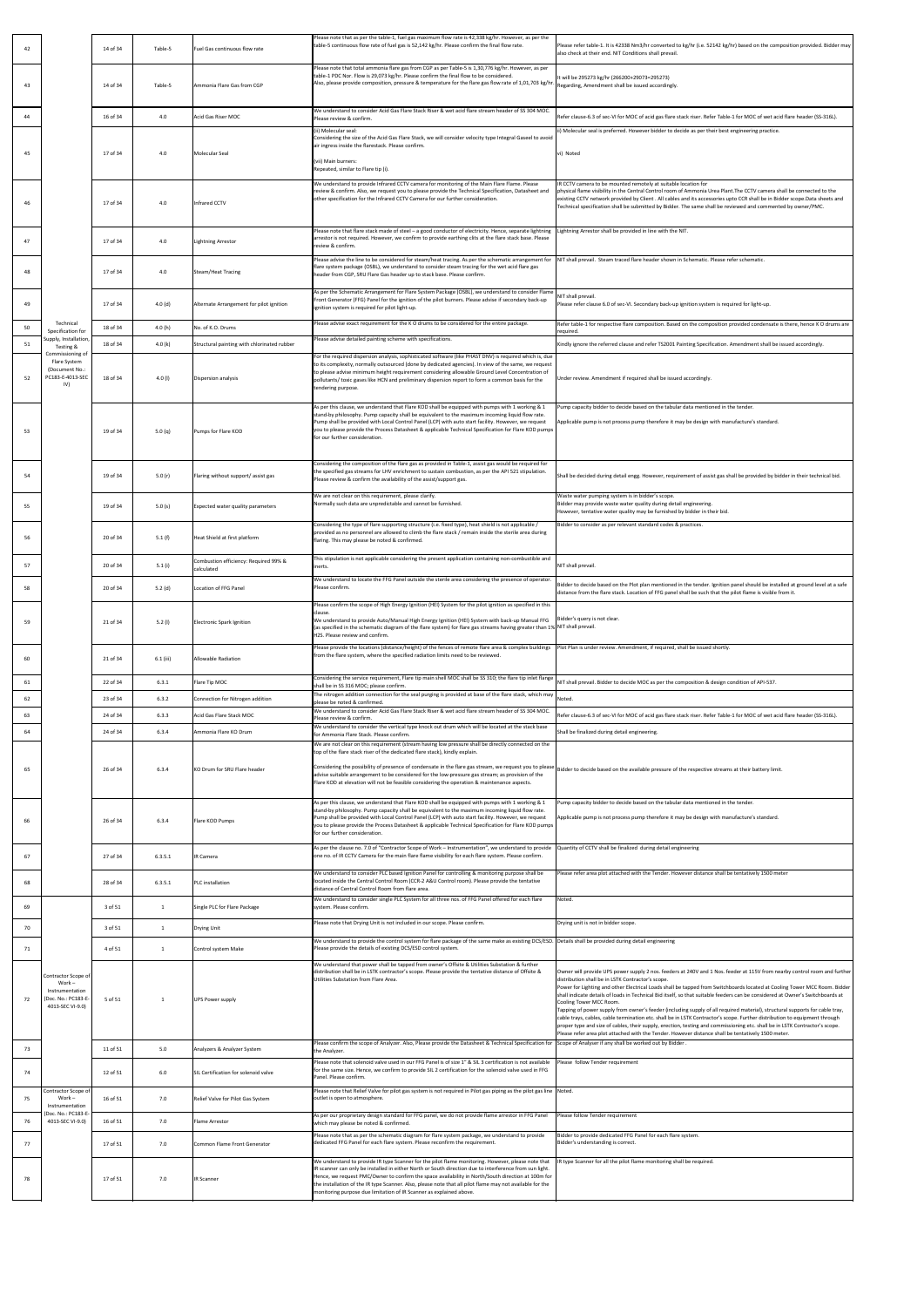| 42       |                                                                                             | 14 of 34             | Table-5        | Fuel Gas continuous flow rate                                | Please note that as per the table-1, fuel gas maximum flow rate is 42,338 kg/hr. However, as per the<br>table-5 continuous flow rate of fuel gas is 52,142 kg/hr. Please confirm the final flow rate.                                                                                                                                                                                                                                                                                          | Please refer table-1. It is 42338 Nm3/hr converted to kg/hr (i.e. 52142 kg/hr) based on the composition provided. Bidder may<br>also check at their end. NIT Conditions shall prevail.                                                                                                                                                                                                                                                                                                                                                                                                                                                                                                                                                                                                                                                                                                                                                                                      |
|----------|---------------------------------------------------------------------------------------------|----------------------|----------------|--------------------------------------------------------------|------------------------------------------------------------------------------------------------------------------------------------------------------------------------------------------------------------------------------------------------------------------------------------------------------------------------------------------------------------------------------------------------------------------------------------------------------------------------------------------------|-----------------------------------------------------------------------------------------------------------------------------------------------------------------------------------------------------------------------------------------------------------------------------------------------------------------------------------------------------------------------------------------------------------------------------------------------------------------------------------------------------------------------------------------------------------------------------------------------------------------------------------------------------------------------------------------------------------------------------------------------------------------------------------------------------------------------------------------------------------------------------------------------------------------------------------------------------------------------------|
| 43       |                                                                                             | 14 of 34             | Table-5        | Ammonia Flare Gas from CGP                                   | Please note that total ammonia flare gas from CGP as per Table-5 is 1,30,776 kg/hr. However, as per<br>table-1 PDC Nor. Flow is 29,073 kg/hr. Please confirm the final flow to be considered.<br>Also, please provide composition, pressure & temperature for the flare gas flow rate of 1,01,703 kg/hr. Regarding, Amendment shall be issued accordingly.                                                                                                                                     | It will be 295273 kg/hr (266200+29073=295273)                                                                                                                                                                                                                                                                                                                                                                                                                                                                                                                                                                                                                                                                                                                                                                                                                                                                                                                               |
| 44       |                                                                                             | 16 of 34             | 4.0            | Acid Gas Riser MOC                                           | We understand to consider Acid Gas Flare Stack Riser & wet acid flare stream header of SS 304 MOC.<br>Please review & confirm.                                                                                                                                                                                                                                                                                                                                                                 | Refer clause-6.3 of sec-VI for MOC of acid gas flare stack riser. Refer Table-1 for MOC of wet acid flare header (SS-316L).                                                                                                                                                                                                                                                                                                                                                                                                                                                                                                                                                                                                                                                                                                                                                                                                                                                 |
| 45       |                                                                                             | 17 of 34             | 4.0            | Molecular Seal                                               | (ii) Molecular seal:<br>Considering the size of the Acid Gas Flare Stack, we will consider velocity type Integral Gaseel to avoid<br>air ingress inside the flarestack. Please confirm.<br>(vii) Main burners:<br>Repeated, similar to Flare tip (i).                                                                                                                                                                                                                                          | ii) Molecular seal is preferred. However bidder to decide as per their best engineering practice.<br>vi) Noted                                                                                                                                                                                                                                                                                                                                                                                                                                                                                                                                                                                                                                                                                                                                                                                                                                                              |
|          |                                                                                             | 17 of 34             | 4.0            | Infrared CCTV                                                | We understand to provide Infrared CCTV camera for monitoring of the Main Flare Flame. Please<br>review & confirm. Also, we request you to please provide the Technical Specification, Datasheet and<br>other specification for the Infrared CCTV Camera for our further consideration.                                                                                                                                                                                                         | IR CCTV camera to be mounted remotely at suitable location for<br>physical flame visibility in the Central Control room of Ammonia Urea Plant. The CCTV camera shall be connected to the<br>existing CCTV network provided by Client. All cables and its accessories upto CCR shall be in Bidder scope. Data sheets and<br>Technical specification shall be submitted by Bidder. The same shall be reviewed and commented by owner/PMC.                                                                                                                                                                                                                                                                                                                                                                                                                                                                                                                                     |
| 47       |                                                                                             | 17 of 34             | 4.0            | <b>Lightning Arrestor</b>                                    | Please note that flare stack made of steel - a good conductor of electricity. Hence, separate lightning<br>arrestor is not required. However, we confirm to provide earthing clits at the flare stack base. Please<br>review & confirm.                                                                                                                                                                                                                                                        | Lightning Arrestor shall be provided in line with the NIT.                                                                                                                                                                                                                                                                                                                                                                                                                                                                                                                                                                                                                                                                                                                                                                                                                                                                                                                  |
| 48       |                                                                                             | 17 of 34             | 4.0            | <b>Steam/Heat Tracing</b>                                    | Please advise the line to be considered for steam/heat tracing. As per the schematic arrangement for<br>flare system package (OSBL), we understand to consider steam tracing for the wet acid flare gas<br>header from CGP, SRU Flare Gas header up to stack base. Please confirm.                                                                                                                                                                                                             | NIT shall prevail. Steam traced flare header shown in Schematic. Please refer schematic.                                                                                                                                                                                                                                                                                                                                                                                                                                                                                                                                                                                                                                                                                                                                                                                                                                                                                    |
| 49       |                                                                                             | 17 of 34             | 4.0(d)         | Alternate Arrangement for pilot ignition                     | As per the Schematic Arrangement for Flare System Package (OSBL), we understand to consider Flame<br>Front Generator (FFG) Panel for the ignition of the pilot burners. Please advise if secondary back-up<br>ignition system is required for pilot light-up.                                                                                                                                                                                                                                  | NIT shall prevail.<br>Please refer clause 6.0 of sec-VI. Secondary back-up ignition system is required for light-up.                                                                                                                                                                                                                                                                                                                                                                                                                                                                                                                                                                                                                                                                                                                                                                                                                                                        |
| 50       | Technical<br>Specification for                                                              | 18 of 34             | 4.0(h)         | No. of K.O. Drums                                            | Please advise exact requirement for the K O drums to be considered for the entire package.                                                                                                                                                                                                                                                                                                                                                                                                     | Refer table-1 for respective flare composition. Based on the composition provided condensate is there, hence K O drums are<br>required                                                                                                                                                                                                                                                                                                                                                                                                                                                                                                                                                                                                                                                                                                                                                                                                                                      |
| 51       | Supply, Installation,<br>Testing &                                                          | 18 of 34             | 4.0 (k)        | Structural painting with chlorinated rubber                  | Please advise detailed painting scheme with specifications.                                                                                                                                                                                                                                                                                                                                                                                                                                    | Kindly ignore the referred clause and refer TS2001 Painting Specification. Amendment shall be issued accordingly.                                                                                                                                                                                                                                                                                                                                                                                                                                                                                                                                                                                                                                                                                                                                                                                                                                                           |
| 52       | Commissioning of<br>Flare System<br>(Document No.:<br>PC183-E-4013-SEC<br>IV)               | 18 of 34             | 4.0(l)         | Dispersion analysis                                          | For the required dispersion analysis, sophisticated software (like PHAST DNV) is required which is, due<br>to its complexity, normally outsourced (done by dedicated agencies). In view of the same, we request<br>to please advise minimum height requirement considering allowable Ground Level Concentration of<br>pollutants/ toxic gases like HCN and preliminary dispersion report to form a common basis for the<br>tendering purpose.                                                  | Under review. Amendment if required shall be issued accordingly.                                                                                                                                                                                                                                                                                                                                                                                                                                                                                                                                                                                                                                                                                                                                                                                                                                                                                                            |
| 53       |                                                                                             | 19 of 34             | 5.0 (q)        | Pumps for Flare KOD                                          | As per this clause, we understand that Flare KOD shall be equipped with pumps with 1 working & 1<br>stand-by philosophy. Pump capacity shall be equivalent to the maximum incoming liquid flow rate.<br>Pump shall be provided with Local Control Panel (LCP) with auto start facility. However, we request<br>you to please provide the Process Datasheet & applicable Technical Specification for Flare KOD pumps<br>for our further consideration.                                          | Pump capacity bidder to decide based on the tabular data mentioned in the tender.<br>Applicable pump is not process pump therefore it may be design with manufacture's standard.                                                                                                                                                                                                                                                                                                                                                                                                                                                                                                                                                                                                                                                                                                                                                                                            |
| 54       |                                                                                             | 19 of 34             | 5.0 $(r)$      | Flaring without support/assist gas                           | Considering the composition of the flare gas as provided in Table-1, assist gas would be required for<br>the specified gas streams for LHV enrichment to sustain combustion, as per the API 521 stipulation.<br>Please review & confirm the availability of the assist/support gas.                                                                                                                                                                                                            | Shall be decided during detail engg. However, requirement of assist gas shall be provided by bidder in their technical bid.                                                                                                                                                                                                                                                                                                                                                                                                                                                                                                                                                                                                                                                                                                                                                                                                                                                 |
| 55       |                                                                                             | 19 of 34             | 5.0 $(s)$      | Expected water quality parameters                            | We are not clear on this requirement, please clarify.<br>Normally such data are unpredictable and cannot be furnished.                                                                                                                                                                                                                                                                                                                                                                         | Waste water pumping system is in bidder's scope.<br>Bidder may provide waste water quality during detail engineering.<br>However, tentative water quality may be furnished by bidder in their bid.                                                                                                                                                                                                                                                                                                                                                                                                                                                                                                                                                                                                                                                                                                                                                                          |
| 56       |                                                                                             | 20 of 34             | 5.1(f)         | Heat Shield at first platform                                | Considering the type of flare supporting structure (i.e. fixed type), heat shield is not applicable /<br>provided as no personnel are allowed to climb the flare stack / remain inside the sterile area during<br>flaring. This may please be noted & confirmed.                                                                                                                                                                                                                               | Bidder to consider as per relevant standard codes & practices.                                                                                                                                                                                                                                                                                                                                                                                                                                                                                                                                                                                                                                                                                                                                                                                                                                                                                                              |
| 57       |                                                                                             | 20 of 34             | 5.1(i)         | Combustion efficiency: Required 99% &<br>calculated          | This stipulation is not applicable considering the present application containing non-combustible and<br>inerts.                                                                                                                                                                                                                                                                                                                                                                               | NIT shall prevail                                                                                                                                                                                                                                                                                                                                                                                                                                                                                                                                                                                                                                                                                                                                                                                                                                                                                                                                                           |
| 58       |                                                                                             | 20 of 34             | 5.2 $(d)$      | <b>Location of FFG Panel</b>                                 | We understand to locate the FFG Panel outside the sterile area considering the presence of operator.<br>Please confirm.                                                                                                                                                                                                                                                                                                                                                                        | Bidder to decide based on the Plot plan mentioned in the tender. Ignition panel should be installed at ground level at a safe                                                                                                                                                                                                                                                                                                                                                                                                                                                                                                                                                                                                                                                                                                                                                                                                                                               |
| 59       |                                                                                             | 21 of 34             | $5.2$ (l)      | Electronic Spark Ignition                                    | Please confirm the scope of High Energy Ignition (HEI) System for the pilot ignition as specified in this<br>clause.<br>We understand to provide Auto/Manual High Energy Ignition (HEI) System with back-up Manual FFG<br>(as specified in the schematic diagram of the flare system) for flare gas streams having greater than 1%<br>H2S. Please review and confirm.                                                                                                                          | distance from the flare stack. Location of FFG panel shall be such that the pilot flame is visible from it.<br>Bidder's query is not clear.<br>NIT shall prevail                                                                                                                                                                                                                                                                                                                                                                                                                                                                                                                                                                                                                                                                                                                                                                                                            |
| 60       |                                                                                             | 21 of 34             | $6.1$ (iii)    | <b>Allowable Radiation</b>                                   | Please provide the locations (distance/height) of the fences of remote flare area & complex buildings<br>from the flare system, where the specified radiation limits need to be reviewed.                                                                                                                                                                                                                                                                                                      | Plot Plan is under review. Amendment, if required, shall be issued shortly.                                                                                                                                                                                                                                                                                                                                                                                                                                                                                                                                                                                                                                                                                                                                                                                                                                                                                                 |
| 61       |                                                                                             | 22 of 34             | 6.3.1          | Flare Tip MOC                                                | Considering the service requirement, Flare tip main shell MOC shall be SS 310; the flare tip inlet flange<br>shall be in SS 316 MOC; please confirm.<br>The nitrogen addition connection for the seal purging is provided at base of the flare stack, which may                                                                                                                                                                                                                                | NIT shall prevail. Bidder to decide MOC as per the composition & design condition of API-537.                                                                                                                                                                                                                                                                                                                                                                                                                                                                                                                                                                                                                                                                                                                                                                                                                                                                               |
| 62<br>63 |                                                                                             | 23 of 34<br>24 of 34 | 6.3.2<br>6.3.3 | Connection for Nitrogen addition<br>Acid Gas Flare Stack MOC | please be noted & confirmed.<br>We understand to consider Acid Gas Flare Stack Riser & wet acid flare stream header of SS 304 MOC.                                                                                                                                                                                                                                                                                                                                                             | Noted.<br>Refer clause-6.3 of sec-VI for MOC of acid gas flare stack riser. Refer Table-1 for MOC of wet acid flare header (SS-316L).                                                                                                                                                                                                                                                                                                                                                                                                                                                                                                                                                                                                                                                                                                                                                                                                                                       |
| 64       |                                                                                             | 24 of 34             | 6.3.4          | Ammonia Flare KO Drum                                        | Please review & confirm.<br>We understand to consider the vertical type knock out drum which will be located at the stack base                                                                                                                                                                                                                                                                                                                                                                 | Shall be finalized during detail engineering.                                                                                                                                                                                                                                                                                                                                                                                                                                                                                                                                                                                                                                                                                                                                                                                                                                                                                                                               |
|          |                                                                                             |                      |                |                                                              | for Ammonia Flare Stack. Please confirm.<br>We are not clear on this requirement (stream having low pressure shall be directly connected on the                                                                                                                                                                                                                                                                                                                                                |                                                                                                                                                                                                                                                                                                                                                                                                                                                                                                                                                                                                                                                                                                                                                                                                                                                                                                                                                                             |
| 65       |                                                                                             | 26 of 34             | 6.3.4          | KO Drum for SRU Flare header                                 | top of the flare stack riser of the dedicated flare stack), kindly explain.<br>Considering the possibility of presence of condensate in the flare gas stream, we request you to please Bidder to decide based on the available pressure of the respective streams at their battery limit.<br>advise suitable arrangement to be considered for the low-pressure gas stream; as provision of the<br>Flare KOD at elevation will not be feasible considering the operation & maintenance aspects. |                                                                                                                                                                                                                                                                                                                                                                                                                                                                                                                                                                                                                                                                                                                                                                                                                                                                                                                                                                             |
| 66       |                                                                                             | 26 of 34             | 6.3.4          | Flare KOD Pumps                                              | As per this clause, we understand that Flare KOD shall be equipped with pumps with 1 working & 1<br>stand-by philosophy. Pump capacity shall be equivalent to the maximum incoming liquid flow rate.<br>Pump shall be provided with Local Control Panel (LCP) with auto start facility. However, we request<br>you to please provide the Process Datasheet & applicable Technical Specification for Flare KOD pumps<br>for our further consideration.                                          | Pump capacity bidder to decide based on the tabular data mentioned in the tender.<br>Applicable pump is not process pump therefore it may be design with manufacture's standard                                                                                                                                                                                                                                                                                                                                                                                                                                                                                                                                                                                                                                                                                                                                                                                             |
| 67       |                                                                                             | 27 of 34             | 6.3.5.1        | <b>IR Camera</b>                                             | As per the clause no. 7.0 of "Contractor Scope of Work – Instrumentation", we understand to provide Quantity of CCTV shall be finalized during detail engineering<br>one no. of IR CCTV Camera for the main flare flame visibility for each flare system. Please confirm.                                                                                                                                                                                                                      |                                                                                                                                                                                                                                                                                                                                                                                                                                                                                                                                                                                                                                                                                                                                                                                                                                                                                                                                                                             |
| 68       |                                                                                             | 28 of 34             | 6.3.5.1        | PLC installation                                             | We understand to consider PLC based Ignition Panel for controlling & monitoring purpose shall be<br>located inside the Central Control Room (CCR-2 A&U Control room). Please provide the tentative<br>distance of Central Control Room from flare area.                                                                                                                                                                                                                                        | Please refer area plot attached with the Tender. However distance shall be tentatively 1500 meter                                                                                                                                                                                                                                                                                                                                                                                                                                                                                                                                                                                                                                                                                                                                                                                                                                                                           |
| 69       |                                                                                             | 3 of 51              |                | Single PLC for Flare Package                                 | We understand to consider single PLC System for all three nos. of FFG Panel offered for each flare<br>system. Please confirm.                                                                                                                                                                                                                                                                                                                                                                  | Noted.                                                                                                                                                                                                                                                                                                                                                                                                                                                                                                                                                                                                                                                                                                                                                                                                                                                                                                                                                                      |
| 70       |                                                                                             | 3 of 51              |                | Drying Unit                                                  | Please note that Drying Unit is not included in our scope. Please confirm.                                                                                                                                                                                                                                                                                                                                                                                                                     | Drying unit is not in bidder scope.                                                                                                                                                                                                                                                                                                                                                                                                                                                                                                                                                                                                                                                                                                                                                                                                                                                                                                                                         |
| 71       |                                                                                             | 4 of 51              |                | Control system Make                                          | We understand to provide the control system for flare package of the same make as existing DCS/ESD. Details shall be provided during detail engineering<br>Please provide the details of existing DCS/ESD control system.                                                                                                                                                                                                                                                                      |                                                                                                                                                                                                                                                                                                                                                                                                                                                                                                                                                                                                                                                                                                                                                                                                                                                                                                                                                                             |
| 72       | Contractor Scope of<br>Work –<br>Instrumentation<br>(Doc. No.: PC183-E-<br>4013-SEC VI-9.0) | 5 of 51              |                | <b>UPS Power supply</b>                                      | We understand that power shall be tapped from owner's Offsite & Utilities Substation & further<br>distribution shall be in LSTK contractor's scope. Please provide the tentative distance of Offsite &<br>Utilities Substation from Flare Area.                                                                                                                                                                                                                                                | Owner will provide UPS power supply 2 nos. feeders at 240V and 1 Nos. feeder at 115V from nearby control room and further<br>distribution shall be in LSTK Contractor's scope.<br>Power for Lighting and other Electrical Loads shall be tapped from Switchboards located at Cooling Tower MCC Room. Bidder<br>shall indicate details of loads in Technical Bid itself, so that suitable feeders can be considered at Owner's Switchboards at<br>Cooling Tower MCC Room.<br>Tapping of power supply from owner's feeder (including supply of all required material), structural supports for cable tray,<br>cable trays, cables, cable termination etc. shall be in LSTK Contractor's scope. Further distribution to equipment through<br>proper type and size of cables, their supply, erection, testing and commissioning etc. shall be in LSTK Contractor's scope.<br>Please refer area plot attached with the Tender. However distance shall be tentatively 1500 meter. |
| 73       |                                                                                             | 11 of 51             | 5.0            | Analyzers & Analyzer System                                  | Please confirm the scope of Analyzer. Also, Please provide the Datasheet & Technical Specification for Scope of Analyser if any shall be worked out by Bidder.<br>the Analyzer.                                                                                                                                                                                                                                                                                                                |                                                                                                                                                                                                                                                                                                                                                                                                                                                                                                                                                                                                                                                                                                                                                                                                                                                                                                                                                                             |
| 74       |                                                                                             | 12 of 51             | 6.0            | SIL Certification for solenoid valve                         | Please note that solenoid valve used in our FFG Panel is of size 1" & SIL 3 certification is not available<br>for the same size. Hence, we confirm to provide SIL 2 certification for the solenoid valve used in FFG<br>Panel. Please confirm.                                                                                                                                                                                                                                                 | Please follow Tender requirement                                                                                                                                                                                                                                                                                                                                                                                                                                                                                                                                                                                                                                                                                                                                                                                                                                                                                                                                            |
| 75       | Contractor Scope of<br>Work –<br>Instrumentation                                            | 16 of 51             | 7.0            | Relief Valve for Pilot Gas System                            | Please note that Relief Valve for pilot gas system is not required in Pilot gas piping as the pilot gas line Noted.<br>outlet is open to atmosphere.                                                                                                                                                                                                                                                                                                                                           |                                                                                                                                                                                                                                                                                                                                                                                                                                                                                                                                                                                                                                                                                                                                                                                                                                                                                                                                                                             |
| 76       | (Doc. No.: PC183-E-<br>4013-SEC VI-9.0)                                                     | 16 of 51             | 7.0            | Flame Arrestor                                               | As per our proprietary design standard for FFG panel, we do not provide flame arrestor in FFG Panel<br>which may please be noted & confirmed.                                                                                                                                                                                                                                                                                                                                                  | Please follow Tender requirement                                                                                                                                                                                                                                                                                                                                                                                                                                                                                                                                                                                                                                                                                                                                                                                                                                                                                                                                            |
| 77       |                                                                                             | 17 of 51             | 7.0            | Common Flame Front Generator                                 | Please note that as per the schematic diagram for flare system package, we understand to provide<br>dedicated FFG Panel for each flare system. Please reconfirm the requirement.                                                                                                                                                                                                                                                                                                               | Bidder to provide dedicated FFG Panel for each flare system.<br>Bidder's understanding is correct.                                                                                                                                                                                                                                                                                                                                                                                                                                                                                                                                                                                                                                                                                                                                                                                                                                                                          |
|          |                                                                                             |                      |                |                                                              | We understand to provide IR type Scanner for the pilot flame monitoring. However, please note that<br>IR scanner can only be installed in either North or South direction due to interference from sun light.                                                                                                                                                                                                                                                                                  | IR type Scanner for all the pilot flame monitoring shall be required.                                                                                                                                                                                                                                                                                                                                                                                                                                                                                                                                                                                                                                                                                                                                                                                                                                                                                                       |
| 78       |                                                                                             | 17 of 51             | 7.0            | <b>IR Scanner</b>                                            | Hence, we request PMC/Owner to confirm the space availability in North/South direction at 100m for<br>the installation of the IR type Scanner. Also, please note that all pilot flame may not available for the<br>monitoring purpose due limitation of IR Scanner as explained above.                                                                                                                                                                                                         |                                                                                                                                                                                                                                                                                                                                                                                                                                                                                                                                                                                                                                                                                                                                                                                                                                                                                                                                                                             |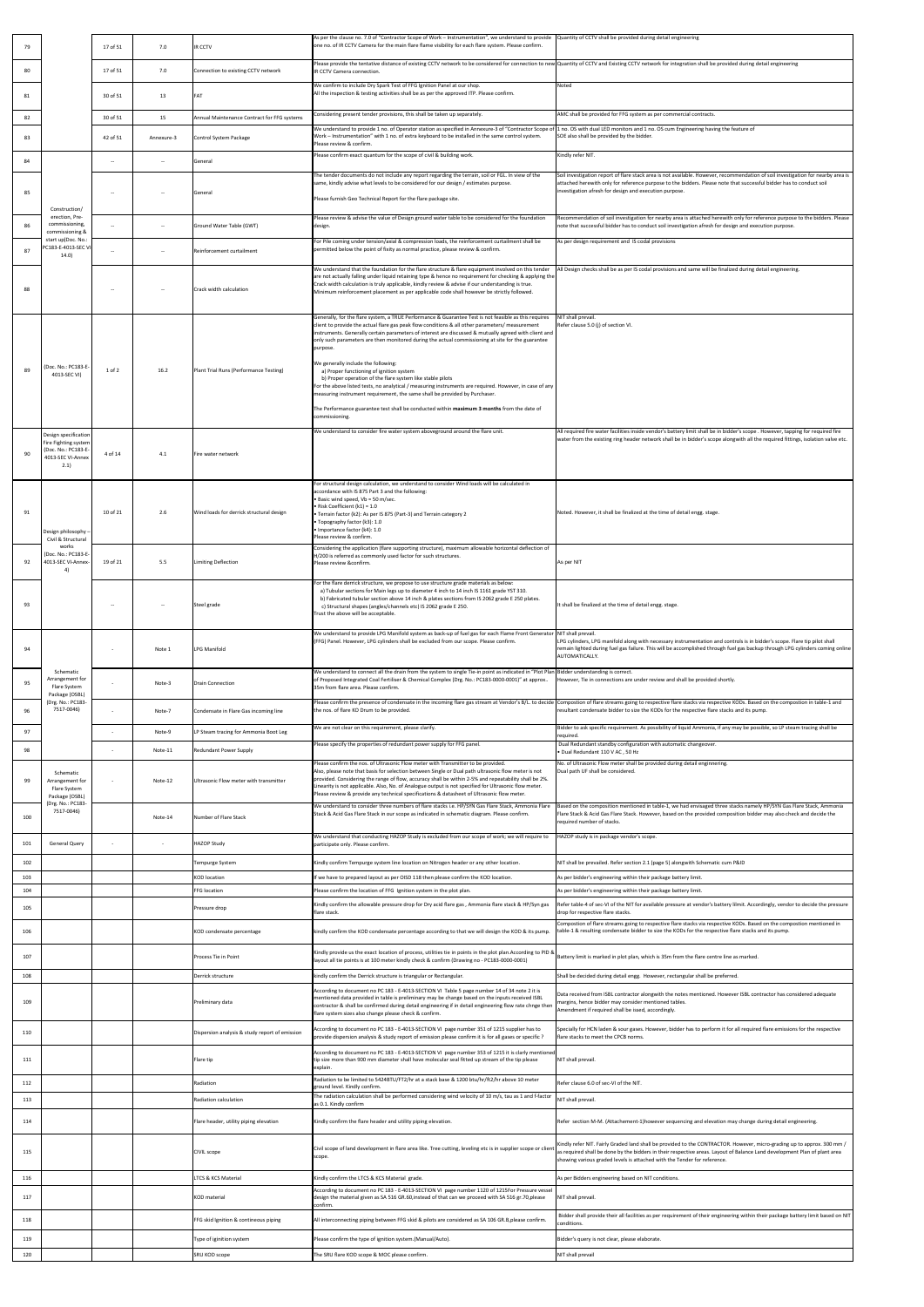| 79         |                                                                     | 17 of 51 | 7.0              | <b>IR CCTV</b>                                                                 | As per the clause no. 7.0 of "Contractor Scope of Work – Instrumentation", we understand to provide   Quantity of CCTV shall be provided during detail engineering<br>one no. of IR CCTV Camera for the main flare flame visibility for each flare system. Please confirm.                                                                                                                                                                                                                                                                                                                                                                                                                                                                                                                                                                                                 |                                                                                                                                                                                                                                                                                                                                  |
|------------|---------------------------------------------------------------------|----------|------------------|--------------------------------------------------------------------------------|----------------------------------------------------------------------------------------------------------------------------------------------------------------------------------------------------------------------------------------------------------------------------------------------------------------------------------------------------------------------------------------------------------------------------------------------------------------------------------------------------------------------------------------------------------------------------------------------------------------------------------------------------------------------------------------------------------------------------------------------------------------------------------------------------------------------------------------------------------------------------|----------------------------------------------------------------------------------------------------------------------------------------------------------------------------------------------------------------------------------------------------------------------------------------------------------------------------------|
| 80         |                                                                     | 17 of 51 | 7.0              | Connection to existing CCTV network                                            | IR CCTV Camera connection.                                                                                                                                                                                                                                                                                                                                                                                                                                                                                                                                                                                                                                                                                                                                                                                                                                                 | Please provide the tentative distance of existing CCTV network to be considered for connection to new Quantity of CCTV and Existing CCTV network for integration shall be provided during detail engineering                                                                                                                     |
| 81         |                                                                     | 30 of 51 | 13               | FAT                                                                            | We confirm to include Dry Spark Test of FFG Ignition Panel at our shop.<br>All the inspection & testing activities shall be as per the approved ITP. Please confirm.                                                                                                                                                                                                                                                                                                                                                                                                                                                                                                                                                                                                                                                                                                       | Noted                                                                                                                                                                                                                                                                                                                            |
| 82         |                                                                     | 30 of 51 | 15               | Annual Maintenance Contract for FFG systems                                    | Considering present tender provisions, this shall be taken up separately.                                                                                                                                                                                                                                                                                                                                                                                                                                                                                                                                                                                                                                                                                                                                                                                                  | AMC shall be provided for FFG system as per commercial contracts.                                                                                                                                                                                                                                                                |
| 83         |                                                                     | 42 of 51 | Annexure-3       | Control System Package                                                         | We understand to provide 1 no. of Operator station as specified in Annexure-3 of "Contractor Scope of $ 1$ no. OS with dual LED monitors and 1 no. OS cum Engineering having the feature of<br>Work - Instrumentation" with 1 no. of extra keyboard to be installed in the same control system.<br>Please review & confirm.                                                                                                                                                                                                                                                                                                                                                                                                                                                                                                                                                | SOE also shall be provided by the bidder.                                                                                                                                                                                                                                                                                        |
| 84         |                                                                     | $--$     |                  | General                                                                        | Please confirm exact quantum for the scope of civil & building work.                                                                                                                                                                                                                                                                                                                                                                                                                                                                                                                                                                                                                                                                                                                                                                                                       | Kindly refer NIT.                                                                                                                                                                                                                                                                                                                |
|            |                                                                     |          |                  |                                                                                | The tender documents do not include any report regarding the terrain, soil or FGL. In view of the<br>same, kindly advise what levels to be considered for our design / estimates purpose.                                                                                                                                                                                                                                                                                                                                                                                                                                                                                                                                                                                                                                                                                  | Soil investigation report of flare stack area is not available. However, recommendation of soil investigation for nearby area is<br>attached herewith only for reference purpose to the bidders. Please note that successful bidder has to conduct soil                                                                          |
| 85         | Construction/                                                       |          |                  | General                                                                        | Please furnish Geo Technical Report for the flare package site.                                                                                                                                                                                                                                                                                                                                                                                                                                                                                                                                                                                                                                                                                                                                                                                                            | investigation afresh for design and execution purpose.                                                                                                                                                                                                                                                                           |
| 86         | erection, Pre-<br>commissioning,<br>commissioning &                 |          |                  | Ground Water Table (GWT)                                                       | Please review & advise the value of Design ground water table to be considered for the foundation<br>design.                                                                                                                                                                                                                                                                                                                                                                                                                                                                                                                                                                                                                                                                                                                                                               | Recommendation of soil investigation for nearby area is attached herewith only for reference purpose to the bidders. Please<br>note that successful bidder has to conduct soil investigation afresh for design and execution purpose.                                                                                            |
| 87         | start up(Doc. No.:<br>PC183-E-4013-SEC VI<br>14.0)                  |          |                  | Reinforcement curtailment                                                      | For Pile coming under tension/axial & compression loads, the reinforcement curtailment shall be<br>permitted below the point of fixity as normal practice, please review & confirm.                                                                                                                                                                                                                                                                                                                                                                                                                                                                                                                                                                                                                                                                                        | As per design requirement and IS codal provisions                                                                                                                                                                                                                                                                                |
|            |                                                                     |          |                  |                                                                                | We understand that the foundation for the flare structure & flare equipment involved on this tender<br>are not actually falling under liquid retaining type & hence no requirement for checking & applying the                                                                                                                                                                                                                                                                                                                                                                                                                                                                                                                                                                                                                                                             | All Design checks shall be as per IS codal provisions and same will be finalized during detail engineering.                                                                                                                                                                                                                      |
| 88         |                                                                     |          |                  | Crack width calculation                                                        | Crack width calculation is truly applicable, kindly review & advise if our understanding is true.<br>Minimum reinforcement placement as per applicable code shall however be strictly followed.                                                                                                                                                                                                                                                                                                                                                                                                                                                                                                                                                                                                                                                                            |                                                                                                                                                                                                                                                                                                                                  |
| 89         | (Doc. No.: PC183-E-<br>4013-SEC VI)                                 | 1 of 2   | 16.2             | Plant Trial Runs (Performance Testing)                                         | Generally, for the flare system, a TRUE Performance & Guarantee Test is not feasible as this requires<br>client to provide the actual flare gas peak flow conditions & all other parameters/ measurement<br>instruments. Generally certain parameters of interest are discussed & mutually agreed with client and<br>only such parameters are then monitored during the actual commissioning at site for the guarantee<br>purpose.<br>We generally include the following:<br>a) Proper functioning of ignition system<br>b) Proper operation of the flare system like stable pilots<br>For the above listed tests, no analytical / measuring instruments are required. However, in case of any<br>measuring instrument requirement, the same shall be provided by Purchaser.<br>The Performance guarantee test shall be conducted within maximum 3 months from the date of | NIT shall prevail<br>Refer clause 5.0 (j) of section VI.                                                                                                                                                                                                                                                                         |
|            |                                                                     |          |                  |                                                                                | commissioning.<br>We understand to consider fire water system aboveground around the flare unit.                                                                                                                                                                                                                                                                                                                                                                                                                                                                                                                                                                                                                                                                                                                                                                           | All required fire water facilities inside vendor's battery limit shall be in bidder's scope. However, tapping for required fire                                                                                                                                                                                                  |
| 90         | Design specification<br>Fire Fighting system<br>(Doc. No.: PC183-E- | 4 of 14  | 4.1              |                                                                                |                                                                                                                                                                                                                                                                                                                                                                                                                                                                                                                                                                                                                                                                                                                                                                                                                                                                            | water from the existing ring header network shall be in bidder's scope alongwith all the required fittings, isolation valve etc.                                                                                                                                                                                                 |
|            | 4013-SEC VI-Annex<br>2.1)                                           |          |                  | Fire water network                                                             |                                                                                                                                                                                                                                                                                                                                                                                                                                                                                                                                                                                                                                                                                                                                                                                                                                                                            |                                                                                                                                                                                                                                                                                                                                  |
|            |                                                                     |          |                  |                                                                                | For structural design calculation, we understand to consider Wind loads will be calculated in<br>accordance with IS 875 Part 3 and the following:<br>• Basic wind speed, Vb = 50 m/sec.                                                                                                                                                                                                                                                                                                                                                                                                                                                                                                                                                                                                                                                                                    |                                                                                                                                                                                                                                                                                                                                  |
| 91         | Design philosophy -                                                 | 10 of 21 | 2.6              | Wind loads for derrick structural design                                       | • Risk Coefficient $(k1) = 1.0$<br>• Terrain factor (k2): As per IS 875 (Part-3) and Terrain category 2<br>• Topography factor (k3): 1.0<br>· Importance factor (k4): 1.0                                                                                                                                                                                                                                                                                                                                                                                                                                                                                                                                                                                                                                                                                                  | Noted. However, it shall be finalized at the time of detail engg. stage.                                                                                                                                                                                                                                                         |
|            | Civil & Structural<br>works<br>(Doc. No.: PC183-E-                  |          |                  |                                                                                | Please review & confirm.<br>Considering the application (flare supporting structure), maximum allowable horizontal deflection of<br>H/200 is referred as commonly used factor for such structures.                                                                                                                                                                                                                                                                                                                                                                                                                                                                                                                                                                                                                                                                         |                                                                                                                                                                                                                                                                                                                                  |
| 92         | 4013-SEC VI-Annex-                                                  | 19 of 21 | 5.5              | Limiting Deflection                                                            | Please review &confirm.                                                                                                                                                                                                                                                                                                                                                                                                                                                                                                                                                                                                                                                                                                                                                                                                                                                    | As per NIT                                                                                                                                                                                                                                                                                                                       |
| 93         |                                                                     |          |                  | Steel grade                                                                    | For the flare derrick structure, we propose to use structure grade materials as below:<br>a) Tubular sections for Main legs up to diameter 4 inch to 14 inch IS 1161 grade YST 310.<br>b) Fabricated tubular section above 14 inch & plates sections from IS 2062 grade E 250 plates.<br>c) Structural shapes (angles/channels etc) IS 2062 grade E 250.<br>Trust the above will be acceptable.                                                                                                                                                                                                                                                                                                                                                                                                                                                                            | It shall be finalized at the time of detail engg. stage.                                                                                                                                                                                                                                                                         |
| 94         |                                                                     |          | Note 1           | LPG Manifold                                                                   | We understand to provide LPG Manifold system as back-up of fuel gas for each Flame Front Generator<br>(FFG) Panel. However, LPG cylinders shall be excluded from our scope. Please confirm.                                                                                                                                                                                                                                                                                                                                                                                                                                                                                                                                                                                                                                                                                | NIT shall prevail<br>LPG cylinders, LPG manifold along with necessary instrumentation and controls is in bidder's scope. Flare tip pilot shall<br>remain lighted during fuel gas failure. This will be accomplished through fuel gas backup through LPG cylinders coming online                                                  |
| 95         | Schematic<br>Arrangement for                                        |          | Note-3           | <b>Drain Connection</b>                                                        | We understand to connect all the drain from the system to single Tie-in point as indicated in "Plot Plan Bidder understanding is correct.<br>of Proposed Integrated Coal Fertiliser & Chemical Complex (Drg. No.: PC183-0000-0001)" at approx                                                                                                                                                                                                                                                                                                                                                                                                                                                                                                                                                                                                                              | AUTOMATICALLY.<br>However, Tie in connections are under review and shall be provided shortly.                                                                                                                                                                                                                                    |
|            | Flare System<br>Package (OSBL)<br>(Drg. No.: PC183-<br>7517-0046)   |          |                  |                                                                                | 35m from flare area. Please confirm.                                                                                                                                                                                                                                                                                                                                                                                                                                                                                                                                                                                                                                                                                                                                                                                                                                       | Please confirm the presence of condensate in the incoming flare gas stream at Vendor's B/L. to decide Compostion of flare streams going to respective flare stacks via respective KODs. Based on the compostion in table-1 and                                                                                                   |
| 96<br>97   |                                                                     |          | Note-7<br>Note-9 | Condensate in Flare Gas incoming line<br>LP Steam tracing for Ammonia Boot Leg | the nos. of flare KO Drum to be provided.<br>We are not clear on this requirement, please clarify.                                                                                                                                                                                                                                                                                                                                                                                                                                                                                                                                                                                                                                                                                                                                                                         | resultant condensate bidder to size the KODs for the respective flare stacks and its pump.<br>Bidder to ask specific requirement. As possibility of liquid Ammonia, if any may be possible, so LP steam tracing shall be                                                                                                         |
| 98         |                                                                     |          | Note-11          | <b>Redundant Power Supply</b>                                                  | Please specify the properties of redundant power supply for FFG panel.                                                                                                                                                                                                                                                                                                                                                                                                                                                                                                                                                                                                                                                                                                                                                                                                     | required.<br>Dual Redundant standby configuration with automatic changeover.<br>• Dual Redundant 110 V AC, 50 Hz                                                                                                                                                                                                                 |
|            | Schematic                                                           |          |                  |                                                                                | Please confirm the nos. of Ultrasonic Flow meter with Transmitter to be provided.<br>Also, please note that basis for selection between Single or Dual path ultrasonic flow meter is not                                                                                                                                                                                                                                                                                                                                                                                                                                                                                                                                                                                                                                                                                   | No. of Ultrasonic Flow meter shall be provided during detail enginnering.<br>Dual path UF shall be considered                                                                                                                                                                                                                    |
| 99         | Arrangement for<br>Flare System<br>Package (OSBL)                   |          | Note-12          | Ultrasonic Flow meter with transmitter                                         | provided. Considering the range of flow, accuracy shall be within 2-5% and repeatability shall be 2%.<br>Linearity is not applicable. Also, No. of Analogue output is not specified for Ultrasonic flow meter.<br>Please review & provide any technical specifications & datasheet of Ultrasonic flow meter.                                                                                                                                                                                                                                                                                                                                                                                                                                                                                                                                                               |                                                                                                                                                                                                                                                                                                                                  |
| 100        | (Drg. No.: PC183-<br>7517-0046)                                     |          | Note-14          | Number of Flare Stack                                                          | We understand to consider three numbers of flare stacks i.e. HP/SYN Gas Flare Stack, Ammonia Flare<br>Stack & Acid Gas Flare Stack in our scope as indicated in schematic diagram. Please confirm.                                                                                                                                                                                                                                                                                                                                                                                                                                                                                                                                                                                                                                                                         | Based on the composition mentioned in table-1, we had envisaged three stacks namely HP/SYN Gas Flare Stack, Ammonia<br>Flare Stack & Acid Gas Flare Stack. However, based on the provided composition bidder may also check and decide the<br>required number of stacks.                                                         |
| 101        | <b>General Query</b>                                                |          |                  | <b>HAZOP Study</b>                                                             | We understand that conducting HAZOP Study is excluded from our scope of work; we will require to<br>participate only. Please confirm.                                                                                                                                                                                                                                                                                                                                                                                                                                                                                                                                                                                                                                                                                                                                      | HAZOP study is in package vendor's scope.                                                                                                                                                                                                                                                                                        |
| 102<br>103 |                                                                     |          |                  | Tempurge System<br><b>KOD</b> location                                         | Kindly confirm Tempurge system line location on Nitrogen header or any other location.<br>If we have to prepared layout as per OISD 118 then please confirm the KOD location.                                                                                                                                                                                                                                                                                                                                                                                                                                                                                                                                                                                                                                                                                              | NIT shall be prevailed. Refer section 2.1 (page 5) alongwith Schematic cum P&ID<br>As per bidder's engineering within their package battery limit.                                                                                                                                                                               |
| 104        |                                                                     |          |                  | FFG location                                                                   | Please confirm the location of FFG Ignition system in the plot plan.                                                                                                                                                                                                                                                                                                                                                                                                                                                                                                                                                                                                                                                                                                                                                                                                       | As per bidder's engineering within their package battery limit.                                                                                                                                                                                                                                                                  |
| 105        |                                                                     |          |                  | Pressure drop                                                                  | Kindly confirm the allowable pressure drop for Dry acid flare gas, Ammonia flare stack & HP/Syn gas<br>flare stack.                                                                                                                                                                                                                                                                                                                                                                                                                                                                                                                                                                                                                                                                                                                                                        | Refer table-4 of sec-VI of the NIT for available pressure at vendor's battery lilmit. Accordingly, vendor to decide the pressure<br>drop for respective flare stacks.                                                                                                                                                            |
| 106        |                                                                     |          |                  | KOD condensate percentage                                                      | kindly confirm the KOD condensate percentage according to that we will design the KOD & its pump.                                                                                                                                                                                                                                                                                                                                                                                                                                                                                                                                                                                                                                                                                                                                                                          | Compostion of flare streams going to respective flare stacks via respective KODs. Based on the compostion mentioned in<br>table-1 & resulting condensate bidder to size the KODs for the respective flare stacks and its pump.                                                                                                   |
| 107        |                                                                     |          |                  | Process Tie in Point                                                           | Kindly provide us the exact location of process, utilities tie in points in the plot plan. According to PID &<br>layout all tie points is at 100 meter kindly check & confirm (Drawing no - PC183-0000-0001)                                                                                                                                                                                                                                                                                                                                                                                                                                                                                                                                                                                                                                                               | Battery limit is marked in plot plan, which is 35m from the flare centre line as marked.                                                                                                                                                                                                                                         |
| 108        |                                                                     |          |                  | Derrick structure                                                              | kindly confirm the Derrick structure is triangular or Rectangular.                                                                                                                                                                                                                                                                                                                                                                                                                                                                                                                                                                                                                                                                                                                                                                                                         | Shall be decided during detail engg. However, rectangular shall be preferred.                                                                                                                                                                                                                                                    |
| 109        |                                                                     |          |                  | Preliminary data                                                               | According to document no PC 183 - E-4013-SECTION VI Table 5 page number 14 of 34 note 2 it is<br>mentioned data provided in table is preliminary may be change based on the inputs received ISBL<br>contractor & shall be confirmed during detail engineering if in detail engineering flow rate chnge then<br>flare system sizes also change please check & confirm.                                                                                                                                                                                                                                                                                                                                                                                                                                                                                                      | Data received from ISBL contractor alongwith the notes mentioned. However ISBL contractor has considered adequate<br>margins, hence bidder may consider mentioned tables.<br>Amendment if required shall be issed, accordingly.                                                                                                  |
| 110        |                                                                     |          |                  | Dispersion analysis & study report of emission                                 | According to document no PC 183 - E-4013-SECTION VI page number 351 of 1215 supplier has to<br>provide dispersion analysis & study report of emission please confirm it is for all gases or specific ?                                                                                                                                                                                                                                                                                                                                                                                                                                                                                                                                                                                                                                                                     | Specially for HCN laden & sour gases. However, bidder has to perform it for all required flare emissions for the respective<br>flare stacks to meet the CPCB norms.                                                                                                                                                              |
| 111        |                                                                     |          |                  | Flare tip                                                                      | According to document no PC 183 - E-4013-SECTION VI page number 353 of 1215 it is clarly mentioned<br>tip size more than 900 mm diameter shall have molecular seal fitted up stream of the tip please<br>explain.                                                                                                                                                                                                                                                                                                                                                                                                                                                                                                                                                                                                                                                          | NIT shall prevail                                                                                                                                                                                                                                                                                                                |
| 112        |                                                                     |          |                  | Radiation                                                                      | Radiation to be limited to 5424BTU/FT2/hr at a stack base & 1200 btu/hr/ft2/hr above 10 meter<br>ground level. Kindly confirm.                                                                                                                                                                                                                                                                                                                                                                                                                                                                                                                                                                                                                                                                                                                                             | Refer clause 6.0 of sec-VI of the NIT.                                                                                                                                                                                                                                                                                           |
| 113        |                                                                     |          |                  | Radiation calculation                                                          | The radiation calculation shall be performed considering wind velocity of 10 m/s, tau as 1 and f-factor<br>as 0.1. Kindly confirm                                                                                                                                                                                                                                                                                                                                                                                                                                                                                                                                                                                                                                                                                                                                          | NIT shall prevail                                                                                                                                                                                                                                                                                                                |
| 114        |                                                                     |          |                  | Flare header, utility piping elevation                                         | Kindly confirm the flare header and utility piping elevation.                                                                                                                                                                                                                                                                                                                                                                                                                                                                                                                                                                                                                                                                                                                                                                                                              | Refer section M-M. (Attachement-1)however sequencing and elevation may change during detail engineering.                                                                                                                                                                                                                         |
| 115        |                                                                     |          |                  | CIVIL scope                                                                    | Civil scope of land development in flare area like. Tree cutting, leveling etc is in supplier scope or client<br>scope.                                                                                                                                                                                                                                                                                                                                                                                                                                                                                                                                                                                                                                                                                                                                                    | Kindly refer NIT. Fairly Graded land shall be provided to the CONTRACTOR. However, micro-grading up to approx. 300 mm /<br>as required shall be done by the bidders in their respective areas. Layout of Balance Land development Plan of plant area<br>showing various graded levels is attached with the Tender for reference. |
| 116        |                                                                     |          |                  | <b>LTCS &amp; KCS Material</b>                                                 | Kindly confirm the LTCS & KCS Material grade.<br>According to document no PC 183 - E-4013-SECTION VI page number 1120 of 1215For Pressure vessel                                                                                                                                                                                                                                                                                                                                                                                                                                                                                                                                                                                                                                                                                                                           | As per Bidders engineering based on NIT conditions.                                                                                                                                                                                                                                                                              |
| 117        |                                                                     |          |                  | <b>KOD</b> material                                                            | design the material given as SA 516 GR.60, instead of that can we proceed with SA 516 gr.70, please<br>confirm.                                                                                                                                                                                                                                                                                                                                                                                                                                                                                                                                                                                                                                                                                                                                                            | NIT shall prevail                                                                                                                                                                                                                                                                                                                |
| 118        |                                                                     |          |                  | FFG skid Ignition & contineous piping                                          | All interconnecting piping between FFG skid & pilots are considered as SA 106 GR.B, please confirm.                                                                                                                                                                                                                                                                                                                                                                                                                                                                                                                                                                                                                                                                                                                                                                        | Bidder shall provide their all facilities as per requirement of their engineering within their package battery limit based on NIT<br>conditions.                                                                                                                                                                                 |
| 119<br>120 |                                                                     |          |                  | Type of iginition system<br><b>SRU KOD scope</b>                               | Please confirm the type of ignition system.(Manual/Auto).<br>The SRU flare KOD scope & MOC please confirm.                                                                                                                                                                                                                                                                                                                                                                                                                                                                                                                                                                                                                                                                                                                                                                 | Bidder's query is not clear, please elaborate.<br>NIT shall prevail                                                                                                                                                                                                                                                              |